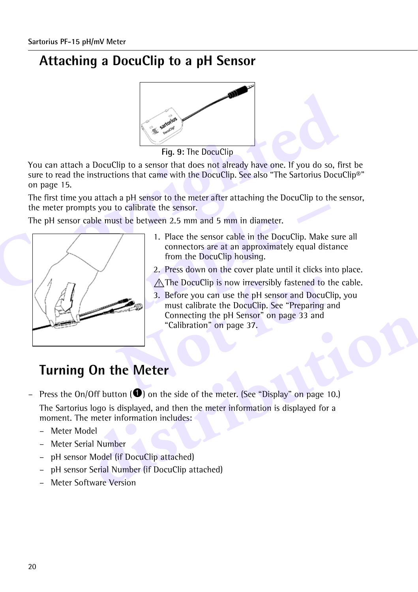# **Attaching a DocuClip to a pH Sensor**



**Fig. 9:** The DocuClip

Fig. 9: The DocuClip<br>
You can attach a DocuClip to a sensor that does not already have one. If you do so, f<br>
sure to read the instructions that came with the DocuClip. See also "The Sartorius Docu<br>
on page 15.<br>
The first t You can attach a DocuClip to a sensor that does not already have one. If you do so, first be sure to read the instructions that came with the DocuClip. See also "The Sartorius DocuClip®" on page 15.

The first time you attach a pH sensor to the meter after attaching the DocuClip to the sensor, the meter prompts you to calibrate the sensor.

The pH sensor cable must be between 2.5 mm and 5 mm in diameter.



- 1. Place the sensor cable in the DocuClip. Make sure all connectors are at an approximately equal distance from the DocuClip housing.
- 2. Press down on the cover plate until it clicks into place.
- $\bigwedge$  The DocuClip is now irreversibly fastened to the cable.
- The DocuClip is now irreversibly fastened to the 3. Before you can use the pH sensor and DocuCl<br>
must calibrate the DocuClip. See "Preparing an "Calibration" on page 37.<br> **Calibration** on page 37.<br> **Calibration** on page 37 3. Before you can use the pH sensor and DocuClip, you must calibrate the DocuClip. See ["Preparing and](#page-13-0)  Connecting the pH Sensor" on page 33 and "Calibration" on page 37.

# **Turning On the Meter**

- Connecting the pH Sensor" on page 33 and<br>
"Calibration" on page 37.<br> **different on the Meter**<br> **different of the meter** of the meter. (See "Display" on page 10.)<br>
s logo is displayed, and then the meter information is disp – Press the On/Off button  $(①)$  on the side of the meter. (See "Display" on page 10.) The Sartorius logo is displayed, and then the meter information is displayed for a moment. The meter information includes:
	- Meter Model
	- Meter Serial Number
	- pH sensor Model (if DocuClip attached)
	- pH sensor Serial Number (if DocuClip attached)
	- Meter Software Version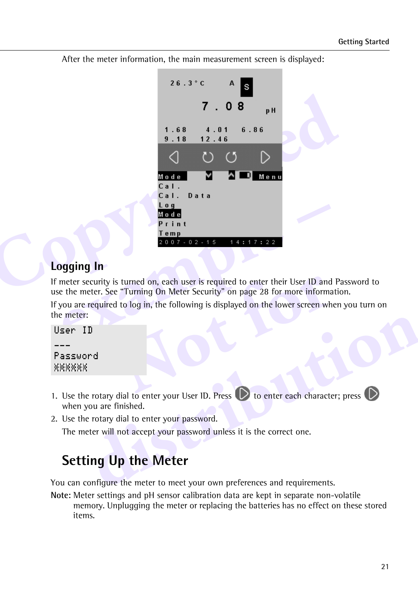After the meter information, the main measurement screen is displayed:



## **Logging In**

If meter security is turned on, each user is required to enter their User ID and Password to use the meter. See "Turning On Meter Security" on page 28 for more information.

In the start of the discrete the text of the start of the start of the start of the discrete their User ID and<br>
I to log in, the following is displayed on the lower screen where<br>
I to log in the following is displayed on t If you are required to log in, the following is displayed on the lower screen when you turn on the meter:

```
User ID
\overline{\phantom{a}}Password
```
- **distribution**<br> **e** rotary dial to enter your User ID. Press  $\bullet$  to enter each character; press  $\bullet$ <br>
you are finished.<br>
e rotary dial to enter your password.<br> **example 10** the Meter<br> **ing Up the Meter**<br>
configure the met 1. Use the rotary dial to enter your User ID. Press  $\bigcirc$  to enter each character; press  $\bigcirc$ when you are finished.
- 2. Use the rotary dial to enter your password.

The meter will not accept your password unless it is the correct one.

# **Setting Up the Meter**

You can configure the meter to meet your own preferences and requirements.

**Note:** Meter settings and pH sensor calibration data are kept in separate non-volatile memory. Unplugging the meter or replacing the batteries has no effect on these stored items.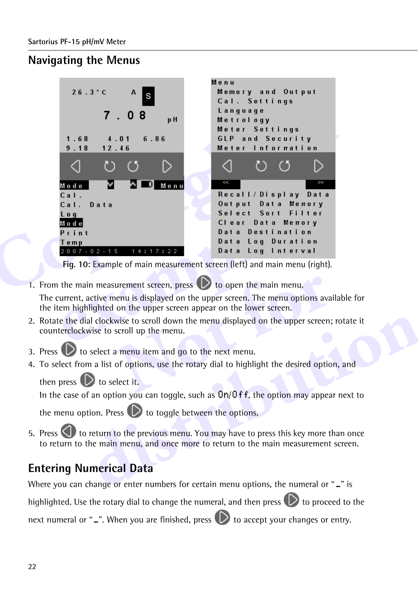## **Navigating the Menus**



**Fig. 10:** Example of main measurement screen (left) and main menu (right).

1. From the main measurement screen, press  $\mathbb{D}$  to open the main menu.

The current, active menu is displayed on the upper screen. The menu options available for the item highlighted on the upper screen appear on the lower screen.

- urement screen, press **O** to open the main menu.<br>
nenu is displayed on the upper screen. The menu options ava<br>
on the upper screen appear on the lower screen.<br>
wise to scroll down the menu displayed on the upper screen;<br>
s 2. Rotate the dial clockwise to scroll down the menu displayed on the upper screen; rotate it counterclockwise to scroll up the menu.
- 3. Press  $\Box$  to select a menu item and go to the next menu.
- 4. To select from a list of options, use the rotary dial to highlight the desired option, and

then press  $\bigcirc$  to select it.

In the case of an option you can toggle, such as  $\frac{0n}{0}$  ff, the option may appear next to

the menu option. Press  $\bigcirc$  to toggle between the options.

ial clockwise to scroll down the menu displayed on the upper screen; rotate it<br>wise to scroll up the menu.<br>
b select a menu item and go to the next menu.<br>
m a list of options, use the rotary dial to highlight the desired o 5. Press  $\bigcup$  to return to the previous menu. You may have to press this key more than once to return to the main menu, and once more to return to the main measurement screen.

## **Entering Numerical Data**

Where you can change or enter numbers for certain menu options, the numeral or "-" is

highlighted. Use the rotary dial to change the numeral, and then press  $\bigcirc$  to proceed to the

next numeral or " $\Box$ ". When you are finished, press  $\Box$  to accept your changes or entry.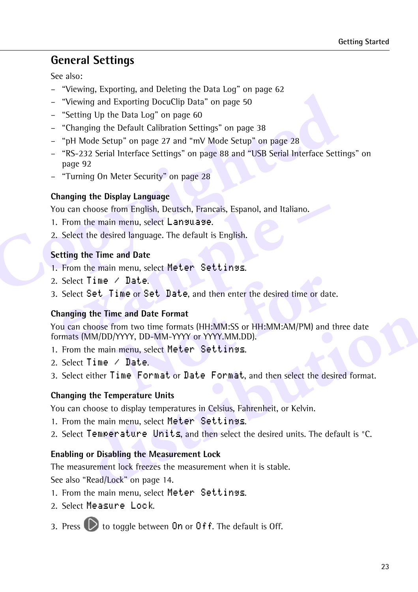### **General Settings**

See also:

- "Viewing, Exporting, and Deleting the Data Log" on page 62
- "Viewing and Exporting DocuClip Data" on page 50
- "Setting Up the Data Log" on page 60
- "Changing the Default Calibration Settings" on page 38
- "pH Mode Setup" on page 27 and "mV Mode Setup" on page 28
- The minimagn and Exporting DocuClip Data" on page 50<br>
 "Viewing and Exporting DocuClip Data" on page 50<br>
 "Setting Up the Data Log" on page 60<br>
 "Changing the Default Calibration Settings" on page 38<br>
 "PH Mode Setup" – "RS-232 Serial Interface Settings" on page 88 and "USB Serial Interface Settings" on page 92
	- "Turning On Meter Security" on page 28

#### **Changing the Display Language**

You can choose from English, Deutsch, Francais, Espanol, and Italiano.

- 1. From the main menu, select Language.
- 2. Select the desired language. The default is English.

#### **Setting the Time and Date**

- 1. From the main menu, select Meter Settings.
- 2. Select Time / Date.
- 3. Select Set Time or Set Date, and then enter the desired time or date.

#### **Changing the Time and Date Format**

ou can choose from English, Deutsch, Francais, Espanol, and Italiano.<br>
From the main menu, select Language.<br>
Select the desired language. The default is English.<br>
<br> **example 15 Figure – France Select Meter Settings.**<br>
Sele Theory of the United State, and then enter the desired time or dat<br> **Notation Example State State State State State State State State State State State State State State State State State State State State State State Stat The filme and Date Format**<br>
choose from two time formats (HH:MM:SS or HH:MM:AM/PM) and three date<br>
MM/DD/YYYY, DD-MM-YYYY or YYYY.MM.DD).<br>
the main menu, select Meter Settings.<br> **Time / Date.**<br>
either **Time Format** or Dat You can choose from two time formats (HH:MM:SS or HH:MM:AM/PM) and three date formats (MM/DD/YYYY, DD-MM-YYYY or YYYY.MM.DD).

- 1. From the main menu, select Meter Settings.
- 2. Select Time / Date.
- 3. Select either Time Format or Date Format, and then select the desired format.

#### **Changing the Temperature Units**

You can choose to display temperatures in Celsius, Fahrenheit, or Kelvin.

- 1. From the main menu, select Meter Settings.
- 2. Select Temperature Units, and then select the desired units. The default is °C.

#### **Enabling or Disabling the Measurement Lock**

The measurement lock freezes the measurement when it is stable.

See also "Read/Lock" on page 14.

- 1. From the main menu, select Meter Settings.
- 2. Select Measure Lock.
- 3. Press  $\bigcirc$  to toggle between On or Off. The default is Off.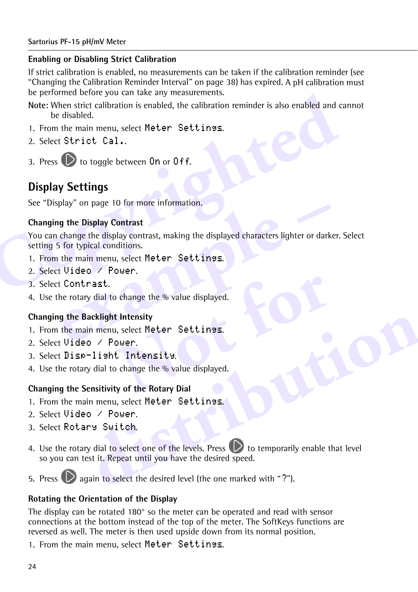#### **Enabling or Disabling Strict Calibration**

If strict calibration is enabled, no measurements can be taken if the calibration reminder (see "Changing the Calibration Reminder Interval" on page 38) has expired. A pH calibration must be performed before you can take any measurements.

**Compared Series Compares Series and Series Compares Shote: When strict calibration is enabled, the calibration reminder is also enabled and the disabled.<br>
1. From the main menu, select Meter Settings.<br>
2. Select Strict Ca Note:** When strict calibration is enabled, the calibration reminder is also enabled and cannot be disabled.

- 1. From the main menu, select Meter Settings.
- 2. Select Strict Cal..
- 3. Press  $\bigcirc$  to toggle between On or Off.

## **Display Settings**

See "Display" on page 10 for more information.

#### **Changing the Display Contrast**

**example 19 Contrast**<br> **example the Display Contrast**<br>
change the display contrast, making the displayed characters lighter or dark<br>
is for typical conditions.<br>
the main menu, select Meter Settings.<br> **example 10** Contrast. You can change the display contrast, making the displayed characters lighter or darker. Select setting 5 for typical conditions.

- 1. From the main menu, select Meter Settings.
- 2. Select Video / Power.
- 3. Select Contrast.
- 4. Use the rotary dial to change the % value displayed.

#### **Changing the Backlight Intensity**

- o change the % value displayed.<br> **Containery**<br> **Notation Settles of Settlings.**<br> **Notation Settlings.**<br> **Notation Settlings.**<br> **Notation Settles of Settlings.**<br> **Notation Settles Settlings.**<br> **Notation Settles Settlings.**<br> 1. From the main menu, select Meter Settings.
- 2. Select Video / Power.
- 3. Select Disp-light Intensity.
- 4. Use the rotary dial to change the % value displayed.

#### **Changing the Sensitivity of the Rotary Dial**

- 1. From the main menu, select Meter Settings.
- 2. Select Video / Power.
- 3. Select Rotary Switch.
- **Sacklight Intensity**<br>
in menu, select Meter Settinss.<br>
o / Power.<br>
-1isht Intensity.<br>
y dial to change the % value displayed.<br>
iensitivity of the Rotary Dial<br>
in menu, select Meter Settinss.<br>
o / Power.<br>
ny Switch.<br>
y dia 4. Use the rotary dial to select one of the levels. Press  $\Box$  to temporarily enable that level so you can test it. Repeat until you have the desired speed.
- 5. Press  $\mathbb{D}$  again to select the desired level (the one marked with "?").

#### **Rotating the Orientation of the Display**

The display can be rotated 180° so the meter can be operated and read with sensor connections at the bottom instead of the top of the meter. The SoftKeys functions are reversed as well. The meter is then used upside down from its normal position.

1. From the main menu, select Meter Settings.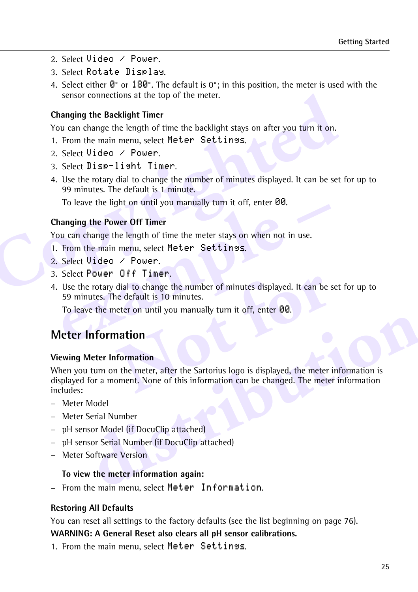- 2. Select Video / Power.
- 3. Select Rotate Display.
- 4. Select either  $0^\circ$  or  $180^\circ$ . The default is 0°; in this position, the meter is used with the sensor connections at the top of the meter.

#### **Changing the Backlight Timer**

You can change the length of time the backlight stays on after you turn it on.

- 1. From the main menu, select Meter Settings.
- 2. Select Video / Power.
- 3. Select Disp-light Timer.
- Sensor connections at the top of the meter.<br> **Changing the Backlight Timer**<br>
You can change the length of time the backlight stays on after you turn it on.<br>
1. From the main menu, select Meter Settinss.<br>
2. Select Uideo / 4. Use the rotary dial to change the number of minutes displayed. It can be set for up to 99 minutes. The default is 1 minute.

To leave the light on until you manually turn it off, enter 00.

#### <span id="page-5-0"></span>**Changing the Power Off Timer**

You can change the length of time the meter stays on when not in use.

- 1. From the main menu, select Meter Settings.
- 2. Select Video / Power.
- 3. Select Power Off Timer.
- **Example 18 Power Off Timer**<br>
because the length of time the meter stays on when not in use.<br>
From the main menu, select Meter Settings.<br>
Select Video / Power.<br>
Select Power Off Timer.<br>
Use the rotary dial to change the nu 4. Use the rotary dial to change the number of minutes displayed. It can be set for up to 59 minutes. The default is 10 minutes.

To leave the meter on until you manually turn it off, enter 00.

## **Meter Information**

#### **Viewing Meter Information**

**COLLET TIMET.**<br> **COLLET TIMET.**<br> **Note that formulates.**<br> **Note that is 10 minutes.**<br> **Note that is 10 minutes.**<br> **Note that is 10 minutes.**<br> **Note of the meter of the Sartorius logo is displayed, the meter is oment.** Non **Information**<br>
Meter Information<br>
a turn on the meter, after the Sartorius logo is displayed, the meter information is<br>
for a moment. None of this information can be changed. The meter information<br>
Model<br>
Serial Number<br>
st When you turn on the meter, after the Sartorius logo is displayed, the meter information is displayed for a moment. None of this information can be changed. The meter information includes:

- Meter Model
- Meter Serial Number
- pH sensor Model (if DocuClip attached)
- pH sensor Serial Number (if DocuClip attached)
- Meter Software Version

#### **To view the meter information again:**

– From the main menu, select Meter Information.

#### **Restoring All Defaults**

You can reset all settings to the factory defaults (see the list beginning on page 76).

#### **WARNING: A General Reset also clears all pH sensor calibrations.**

1. From the main menu, select Meter Settings.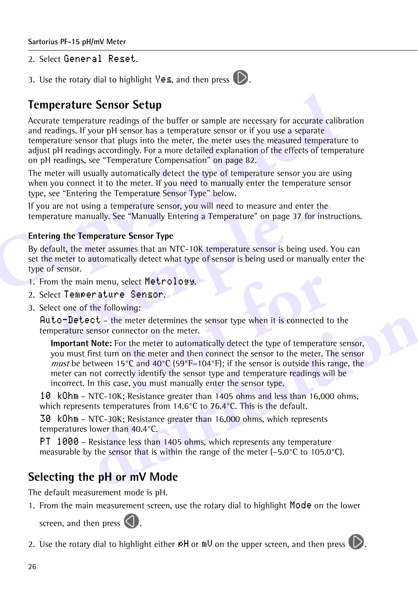2. Select General Reset.

3. Use the rotary dial to highlight  $\forall e \leq$ , and then press  $\bigcirc$ .



## **Temperature Sensor Setup**

**Temperature Sensor Setup**<br>
Accurate temperature readings of the buffer or sample are necessary for accurate cali<br>
and readings. If your pH sensor has a temperature sensor or if you use a separate<br>
temperature sensor that Accurate temperature readings of the buffer or sample are necessary for accurate calibration and readings. If your pH sensor has a temperature sensor or if you use a separate temperature sensor that plugs into the meter, the meter uses the measured temperature to adjust pH readings accordingly. For a more detailed explanation of the effects of temperature on pH readings, see "Temperature Compensation" on page 82.

The meter will usually automatically detect the type of temperature sensor you are using when you connect it to the meter. If you need to manually enter the temperature sensor type, see "Entering the Temperature Sensor Type" below.

If you are not using a temperature sensor, you will need to measure and enter the temperature manually. See "Manually Entering a Temperature" on page 37 for instructions.

#### <span id="page-6-0"></span>**Entering the Temperature Sensor Type**

re not using a temperature sensor, you will need to measure and enter the<br>ture manually. See "Manually Entering a Temperature" on page 37 for inst<br>**g** the Temperature Sensor Type<br>ult, the meter assumes that an NTC-10K temp By default, the meter assumes that an NTC-10K temperature sensor is being used. You can set the meter to automatically detect what type of sensor is being used or manually enter the type of sensor.

- 1. From the main menu, select Metrology.
- 2. Select Temperature Sensor.
- 3. Select one of the following:

 $\mathsf{Auto}\text{-}\mathsf{Delete}\subset \mathsf{t}$  – the meter determines the sensor type when it is connected to the temperature sensor connector on the meter.

I, select Metrology.<br>
The Sensor.<br>
Nowing:<br>
Note meter determines the sensor type when it is connected to<br>
nomector on the meter.<br>
For the meter to automatically detect the type of temperatur<br>
non the meter and then connec **ect** – the meter determines the sensor type when it is connected to the sensor connector on the meter.<br> **t** Note: For the meter to automatically detect the type of temperature sensor, first turn on the meter and then con **Important Note:** For the meter to automatically detect the type of temperature sensor, you must first turn on the meter and then connect the sensor to the meter. The sensor *must* be between 15°C and 40°C (59°F–104°F); if the sensor is outside this range, the meter can not correctly identify the sensor type and temperature readings will be incorrect. In this case, you must manually enter the sensor type.

10 kOhm – NTC-10K; Resistance greater than 1405 ohms and less than 16,000 ohms, which represents temperatures from 14.6°C to 76.4°C. This is the default.

30 kOhm – NTC-30K; Resistance greater than 16,000 ohms, which represents temperatures lower than 40.4°C.

PT 1000 – Resistance less than 1405 ohms, which represents any temperature measurable by the sensor that is within the range of the meter (–5.0°C to 105.0°C).

## **Selecting the pH or mV Mode**

The default measurement mode is pH.

1. From the main measurement screen, use the rotary dial to highlight Mode on the lower

screen, and then press  $\bigcirc$ .

2. Use the rotary dial to highlight either  $p$ H or  $m \cup$  on the upper screen, and then press  $\bigcirc$ .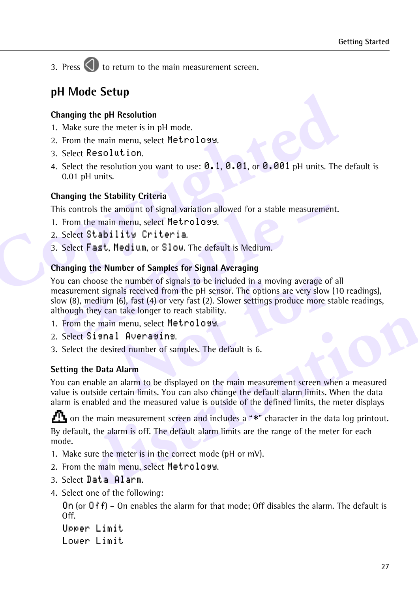3. Press  $\bigodot$  to return to the main measurement screen.

## <span id="page-7-0"></span>**pH Mode Setup**

#### **Changing the pH Resolution**

- 1. Make sure the meter is in pH mode.
- 2. From the main menu, select Metrology.
- 3. Select Resolution.
- **Changing the pH Resolution**<br>
1. Make sure the meter is in pH mode.<br>
2. From the main menu, select Metrology.<br>
3. Select Resolution.<br>
4. Select the resolution you want to use: **0. 1**, **0. 01**, or **0. 001** pH units. The<br>
0. 4. Select the resolution you want to use:  $0.1, 0.01$ , or  $0.001$  pH units. The default is 0.01 pH units.

#### <span id="page-7-1"></span>**Changing the Stability Criteria**

This controls the amount of signal variation allowed for a stable measurement.

- 1. From the main menu, select Metrology.
- 2. Select Stability Criteria.
- 3. Select Fast, Medium, or Slow. The default is Medium.

#### <span id="page-7-2"></span>**Changing the Number of Samples for Signal Averaging**

is controls the amount of signal variation allowed for a stable measuremer<br>From the main menu, select Metrolosy.<br>Select Stability Criteria.<br>Select Fast, Medium, or Slow. The default is Medium.<br>nanging the Number of Samples The number of signals to be included in a moving average of<br>
Indis received from the pH sensor. The options are very slow<br>
(6), fast (4) or very fast (2). Slower settings produce more st<br>
1 take longer to reach stability.<br> You can choose the number of signals to be included in a moving average of all measurement signals received from the pH sensor. The options are very slow (10 readings), slow (8), medium (6), fast (4) or very fast (2). Slower settings produce more stable readings, although they can take longer to reach stability.

- 1. From the main menu, select Metrology.
- 2. Select Signal Averaging.
- 3. Select the desired number of samples. The default is 6.

#### **Setting the Data Alarm**

You can enable an alarm to be displayed on the main measurement screen when a measured value is outside certain limits. You can also change the default alarm limits. When the data alarm is enabled and the measured value is outside of the defined limits, the meter displays

Internation menu, select Metrolosy.<br>
Sismal Averasins.<br>
the desired number of samples. The default is 6.<br> **he Data Alarm**<br>
tradiscending and alarm to be displayed on the main measurement screen when a measured<br>
utside cert  $\mathbf{m}$  on the main measurement screen and includes a " $\ast$ " character in the data log printout. By default, the alarm is off. The default alarm limits are the range of the meter for each mode.

- 1. Make sure the meter is in the correct mode (pH or mV).
- 2. From the main menu, select Metrology.
- 3. Select Data Alarm.
- 4. Select one of the following:

On (or  $0f$ ) – On enables the alarm for that mode; Off disables the alarm. The default is Off.

Upper Limit Lower Limit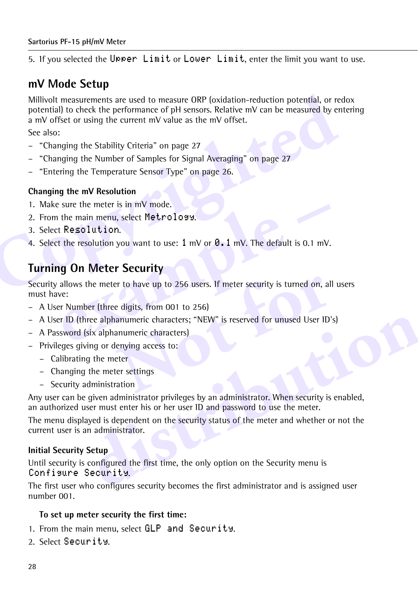5. If you selected the Upper Limit or Lower Limit, enter the limit you want to use.

## <span id="page-8-1"></span>**mV Mode Setup**

Millivolt measurements are used to measure ORP (oxidation-reduction potential, or repotential) to check the performance of pH sensors. Relative mV can be measured by er a mV offset or using the current mV value as the mV o Millivolt measurements are used to measure ORP (oxidation-reduction potential, or redox potential) to check the performance of pH sensors. Relative mV can be measured by entering a mV offset or using the current mV value as the mV offset.

See also:

- "Changing the Stability Criteria" on page 27
- "Changing the Number of Samples for Signal Averaging" on page 27
- "Entering the Temperature Sensor Type" on page 26.

#### **Changing the mV Resolution**

- 1. Make sure the meter is in mV mode.
- 2. From the main menu, select Metrology.
- 3. Select Resolution.
- 4. Select the resolution you want to use:  $1 \text{ mV}$  or  $0.1 \text{ mV}$ . The default is 0.1 mV.

## <span id="page-8-0"></span>**Turning On Meter Security**

Example the main menu, select Metrology.<br> **example 18 min we move that the resolution.**<br> **example 1** mV or **8.1** mV. The default is 0.1 mV.<br> **example 10 On Meter Security**<br>
allows the meter to have up to 256 users. If me Preferred to have up to 256 users. If meter security is turned on, all<br>
e digits, from 001 to 256)<br>
anumeric characters; "NEW" is reserved for unused User ID'<br>
anumeric characters)<br>
enying access to:<br>
eter<br>
ter settings<br>
a Security allows the meter to have up to 256 users. If meter security is turned on, all users must have:

- A User Number (three digits, from 001 to 256)
- A User ID (three alphanumeric characters; "NEW" is reserved for unused User ID's)
- A Password (six alphanumeric characters)
- Privileges giving or denying access to:
	- Calibrating the meter
	- Changing the meter settings
	- Security administration

Fractional User ID's)<br>
Six alphanumeric characters; "NEW" is reserved for unused User ID's)<br>
Any or denying access to:<br>
Any or denying access to:<br>
g the meter<br>
the meter settings<br>
Administration<br>
diministration<br>
given admi Any user can be given administrator privileges by an administrator. When security is enabled, an authorized user must enter his or her user ID and password to use the meter.

The menu displayed is dependent on the security status of the meter and whether or not the current user is an administrator.

#### <span id="page-8-2"></span>**Initial Security Setup**

Until security is configured the first time, the only option on the Security menu is Configure Security.

The first user who configures security becomes the first administrator and is assigned user number 001.

#### **To set up meter security the first time:**

- 1. From the main menu, select GLP and Security.
- 2. Select Security.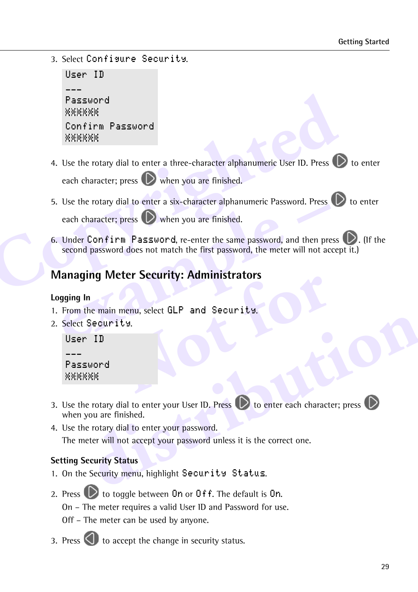3. Select Configure Security.

```
User ID
---Password
Confirm Password
```
- **Copyrighted** 4. Use the rotary dial to enter a three-character alphanumeric User ID. Press  $\bigcirc$  to enter each character; press  $\left(\bigcirc \right)$  when you are finished.
	- 5. Use the rotary dial to enter a six-character alphanumeric Password. Press  $\bigcirc$  to enter each character; press  $\left(\bigcirc \right)$  when you are finished.
	- each character; press the when you are finished.<br>
	Under Confirm Password, re-enter the same password, and then presecond password does not match the first password, the meter will not ac<br> **lanaging Meter Security: Administ** 6. Under Confirm Password, re-enter the same password, and then press  $\mathbb{D}$ . (If the second password does not match the first password, the meter will not accept it.)

## **Managing Meter Security: Administrators**

#### **Logging In**

- **Notify:** Administrators<br>
Ity.<br>
Ity.<br>
Contract GLP and Security. 1. From the main menu, select GLP and Security.
- 2. Select Security.

```
User ID
---Password
```
- Security.<br>
ID<br>
sword<br>
(XXX)<br>
e rotary dial to enter your User ID. Press<br>
(XXX)<br>
e rotary dial to enter your password.<br>
eter will not accept your password.<br>
eter will not accept your password unless it is the correct one.<br> 3. Use the rotary dial to enter your User ID. Press  $\bigcirc$  to enter each character; press  $\bigcirc$ when you are finished.
- 4. Use the rotary dial to enter your password.

The meter will not accept your password unless it is the correct one.

#### **Setting Security Status**

- 1. On the Security menu, highlight Security Status.
- 2. Press  $\bigcup$  to toggle between On or Off. The default is On. On – The meter requires a valid User ID and Password for use. Off – The meter can be used by anyone.
- 3. Press  $\bigcirc$  to accept the change in security status.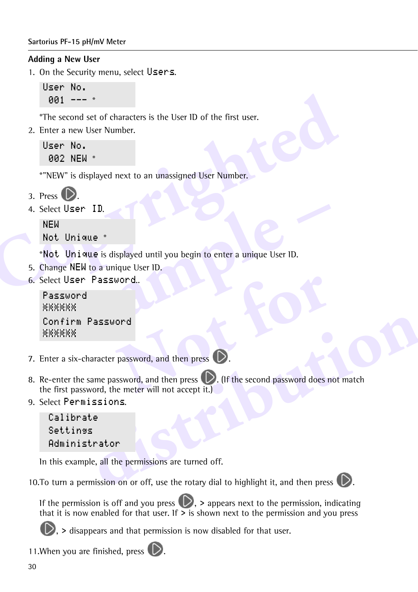#### **Sartorius PF-15 pH/mV Meter**

#### **Adding a New User**

1. On the Security menu, select Users.

```
User No.
 001 --- *
```
\*The second set of characters is the User ID of the first user.

2. Enter a new User Number.

User No. 002 NEW \*

\*"NEW" is displayed next to an unassigned User Number.

3. Press

4. Select User ID.

NEW Not. Unique \*

**Compared Set of Characters is the User ID of the first user.**<br>
The second set of characters is the User ID of the first user.<br>
2. Enter a new User Number.<br> **Compared Set Proper Set of Alliance 3.**<br> **Constant Compared Set** \*Not Unique is displayed until you begin to enter a unique User ID.

- 5. Change NEW to a unique User ID.
- 6. Select User Password..

```
Example 1<br>
Example 2<br>
Lunique is displayed until you begin to enter a unique User ID.<br>
The NEW to a unique User ID.<br>
Example 1<br>
Example 1<br>
Example 1<br>
Example 1<br>
Example 1<br>
Example 1<br>
Example 2<br>
Example 1<br>
Example 2<br>
Exampl
Password
Confirm Password
```
- 7. Enter a six-character password, and then press  $\bigcirc$ .
- password, and then press<br> **Note that is a contract to the press**<br>
In the meter will not accept it.)<br> **Note that is a contract it is a contract to the second password does not** Password<br>
haracter password, and then press<br>
same password, and then press<br>
word, the meter will not accept it.)<br>
issions.<br>
<br> **distribution**<br> **distribution**<br>
ple, all the permissions are turned off.<br> **distribution**<br>
ple, a 8. Re-enter the same password, and then press  $\mathbb{D}$ . (If the second password does not match the first password, the meter will not accept it.)
- 9. Select Permissions.

```
Calibrate
Settings
Administrator
```
In this example, all the permissions are turned off.

10. To turn a permission on or off, use the rotary dial to highlight it, and then press  $\mathbb{D}$ .



If the permission is off and you press  $\mathbb{D}$ , > appears next to the permission, indicating that it is now enabled for that user. If  $\geq$  is shown next to the permission and you press



 $\bullet$ , > disappears and that permission is now disabled for that user.

11. When you are finished, press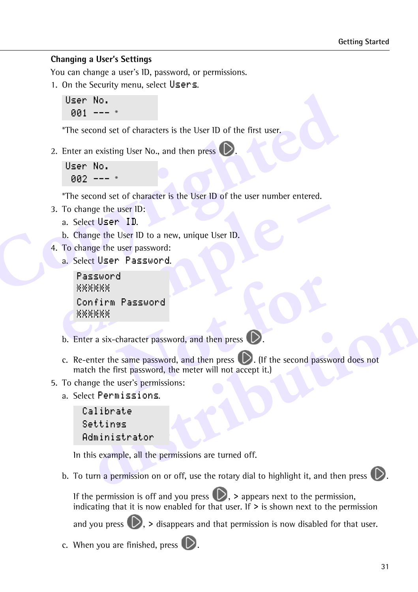#### **Changing a User's Settings**

You can change a user's ID, password, or permissions.

1. On the Security menu, select Users.

```
User No.
 001 --- *
```
\*The second set of characters is the User ID of the first user.

2. Enter an existing User No., and then press  $\mathcal{D}$ .

```
User No.
 002 --- *
```
**Compared 1991**<br> **Copyrighted**<br> **Copyrighted**<br> **Copyrighted**<br> **Copyrighted**<br> **Copyrighted**<br> **Copyrighted**<br> **Copyrighted**<br> **Copyrighted**<br> **Copyrighted**<br> **Copyrighted**<br> **Copyrighted**<br> **Copyrighted**<br> **Copyrighted**<br> **Copyright** \*The second set of character is the User ID of the user number entered.

- 3. To change the user ID:
	- a. Select User ID.
	- b. Change the User ID to a new, unique User ID.
- 4. To change the user password:
	- a. Select User Password.

```
example –
 Password
 Confirm Password
```
- b. Enter a six-character password, and then press  $\bigcirc$ .
- **Password**<br>
character password, and then press<br>
e same password, and then press<br>
Trist password, the meter will not accept it.)<br>
user's permissions:<br>
with the second password, the meter will not accept it.) **distribution** c. Re-enter the same password, and then press  $\bigcirc$ . (If the second password does not match the first password, the meter will not accept it.)
- 5. To change the user's permissions:
	- a. Select Permissions.

```
Calibrate
Settings
Administrator
```
In this example, all the permissions are turned off.

b. To turn a permission on or off, use the rotary dial to highlight it, and then press  $\bigcirc$ .

If the permission is off and you press  $(\mathcal{D})$ , > appears next to the permission, indicating that it is now enabled for that user. If  $\geq$  is shown next to the permission

and you press  $\mathbb{D}$ . > disappears and that permission is now disabled for that user.

c. When you are finished, press  $\triangleright$ .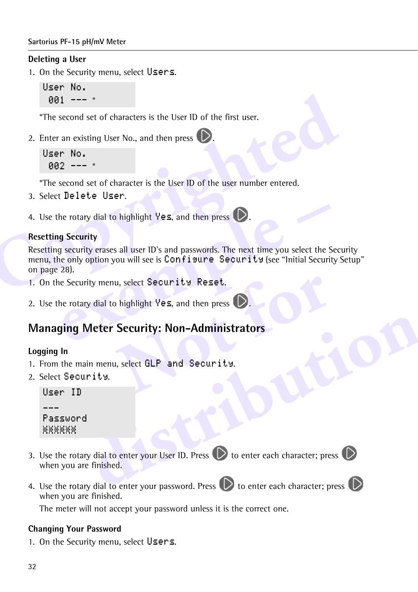#### **Sartorius PF-15 pH/mV Meter**

#### **Deleting a User**

1. On the Security menu, select Users.

```
User No.
 001 --- *
```
\*The second set of characters is the User ID of the first user.

2. Enter an existing User No., and then press  $\mathbb{D}$ 

```
User No.
 002 --- *
```
\*The second set of character is the User ID of the user number entered.

- 3. Select Delete User.
- 4. Use the rotary dial to highlight  $\forall$ es, and then press

#### **Resetting Security**

**[Cop](#page-8-2)yright 1 - - -** \*<br>
\*The second set of characters is the User ID of the first user.<br>
2. Enter an existing User No., and then press<br> **Corporation** USE No.<br> **Copyrighted**<br> **Copyrighted B1 - - \***<br>
\*The second set of chara The rotary dial to highlight Yes, and then press<br> **g** Security<br>
g security<br>
g security erases all user ID's and passwords. The next time you select the S<br>
ne only option you will see is Configure Security (see "Initial Sec Resetting security erases all user ID's and passwords. The next time you select the Security menu, the only option you will see is Configure Security (see "Initial Security Setup" on page 28).

- 1. On the Security menu, select Security Reset.
- 2. Use the rotary dial to highlight  $\forall e$ s, and then press  $\Box$ .

# u, select Security Reset.<br>
highlight Yes, and then press<br>
Security: Non-Administrators<br>
I, select GLP and Security. **Managing Meter Security: Non-Administrators**

#### **Logging In**

- 1. From the main menu, select GLP and Security.
- 2. Select Security.

```
User ID
\overline{a}PasswordXXXXXX
```
- Meter Security: Non-Administrators<br>
in menu, select GLP and Security.<br>
Fity.<br>
distribution enter your User ID. Press <br>
to enter each character; press <br>
we finished.<br>
We dial to enter your password. Press <br>
to enter each ch 3. Use the rotary dial to enter your User ID. Press  $\bigcirc$  to enter each character; press  $\bigcirc$ when you are finished.
- 4. Use the rotary dial to enter your password. Press  $\mathbb{D}$  to enter each character; press  $\mathbb{O}$ when you are finished.

The meter will not accept your password unless it is the correct one.

#### **Changing Your Password**

1. On the Security menu, select Users.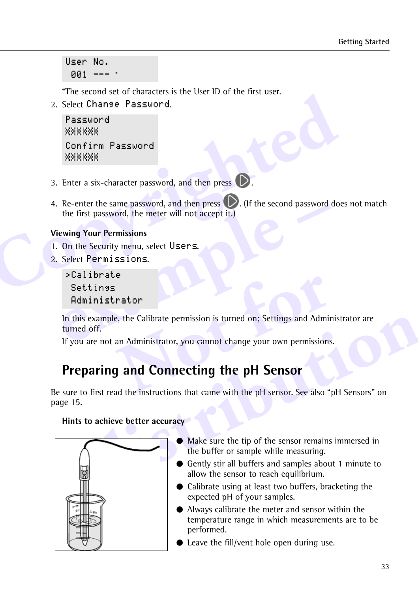User No. 001 --- \*

\*The second set of characters is the User ID of the first user.

2. Select Change Password.

```
Password
Confirm Password
```
- 3. Enter a six-character password, and then press  $\bigcirc$ .
- **Copyrighted** 4. Re-enter the same password, and then press  $\bigcirc$ . (If the second password does not match the first password, the meter will not accept it.)

#### **Viewing Your Permissions**

- 1. On the Security menu, select Users.
- 2. Select Permissions.

```
>Calibrate
 Settings
 Administrator
```
**Example 3** and the interpression of the first password, the meter will not accept it.)<br> **ewing Your Permissions**<br>
On the Security menu, select Users.<br>
Select Permissions.<br>
>Calibrate<br>
Settings<br>
Administrator<br>
In this exam **Prator**<br> **E**, the Calibrate permission is turned on; Settings and Admir<br>
an Administrator, you cannot change your own permissions<br> **Connecting the pH Sensor**<br>
And the instructions that came with the pH sensor. See also "I In this example, the Calibrate permission is turned on; Settings and Administrator are turned off.

If you are not an Administrator, you cannot change your own permissions.

# <span id="page-13-0"></span>**Preparing and Connecting the pH Sensor**

**example, the Calibrate permission is turned on; Settings and Administrator are of off.<br>
<b>are not an Administrator, you cannot change your own permissions.**<br> **aring and Connecting the pH Sensor**<br>
of first read the instruct Be sure to first read the instructions that came with the pH sensor. See also "pH Sensors" on page 15.

#### **Hints to achieve better accuracy**



- § Make sure the tip of the sensor remains immersed in the buffer or sample while measuring.
- Gently stir all buffers and samples about 1 minute to allow the sensor to reach equilibrium.
- Calibrate using at least two buffers, bracketing the expected pH of your samples.
- § Always calibrate the meter and sensor within the temperature range in which measurements are to be performed.
- § Leave the fill/vent hole open during use.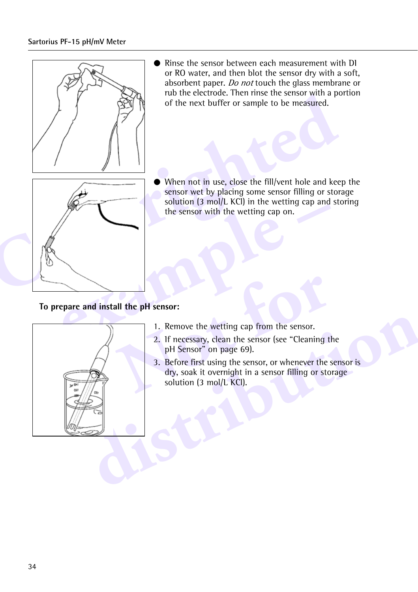#### **Sartorius PF-15 pH/mV Meter**



§ Rinse the sensor between each measurement with DI or RO water, and then blot the sensor dry with a soft, absorbent paper. Do not touch the glass membrane or rub the electrode. Then rinse the sensor with a portion of the next buffer or sample to be measured.



§ When not in use, close the fill/vent hole and keep the sensor wet by placing some sensor filling or storage solution (3 mol/L KCl) in the wetting cap and storing the sensor with the wetting cap on.

#### **To prepare and install the pH sensor:**



- 1. Remove the wetting cap from the sensor.
- 2. If necessary, clean the sensor (see "Cleaning the pH Sensor" on page 69).
- **1.** Remove the wetting cap from the sensor.<br>
1. Remove the wetting cap from the sensor.<br>
2. If necessary, clean the sensor (see "Cleaning the pH Sensor" on page 69).<br>
3. Before first using the sensor, or whenever the sens 3. Before first using the sensor, or whenever the sensor is dry, soak it overnight in a sensor filling or storage solution (3 mol/L KCl).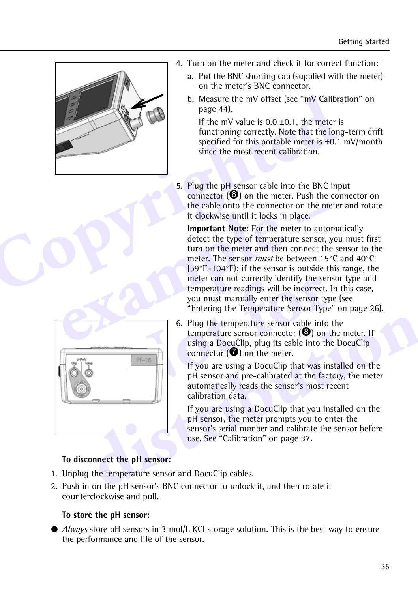

- 4. Turn on the meter and check it for correct function:
	- a. Put the BNC shorting cap (supplied with the meter) on the meter's BNC connector.
	- b. Measure the mV offset (see "mV Calibration" on page 44).

If the mV value is  $0.0 \pm 0.1$ , the meter is functioning correctly. Note that the long-term drift specified for this portable meter is ±0.1 mV/month since the most recent calibration.

5. Plug the pH sensor cable into the BNC input connector (6) on the meter. Push the connector on the cable onto the connector on the meter and rotate it clockwise until it locks in place.

the cable onto the connector on the method it lockwise until it locks in place.<br>
Important Note: For the meter to auto<br>
detect the type of temperature sensor, y<br>
turn on the meter and then connect the<br>
meter. The sensor *m* **Important Note:** For the meter to automatically detect the type of temperature sensor, you must first turn on the meter and then connect the sensor to the meter. The sensor must be between 15°C and 40°C (59°F–104°F); if the sensor is outside this range, the meter can not correctly identify the sensor type and temperature readings will be incorrect. In this case, you must manually enter the sensor type (see ["Entering the Temperature Sensor Type" on page 26\)](#page-6-0).

| PF-15                                                | 6. Plug the temperature sensor cable into the<br>temperature sensor connector $\Theta$ ) on the meter. If<br>using a DocuClip, plug its cable into the DocuClip<br>connector $\left( \bullet \right)$ on the meter. |
|------------------------------------------------------|---------------------------------------------------------------------------------------------------------------------------------------------------------------------------------------------------------------------|
|                                                      | If you are using a DocuClip that was installed on the<br>pH sensor and pre-calibrated at the factory, the meter<br>automatically reads the sensor's most recent<br>calibration data.                                |
|                                                      | If you are using a DocuClip that you installed on the<br>pH sensor, the meter prompts you to enter the<br>sensor's serial number and calibrate the sensor before<br>use. See "Calibration" on page 37.              |
| To disconnect the pH sensor:                         |                                                                                                                                                                                                                     |
| . Unplug the temperature sensor and DocuClip cables. |                                                                                                                                                                                                                     |
|                                                      | . Push in on the pH sensor's BNC connector to unlock it, and then rotate it                                                                                                                                         |

meter can not correctly identify the sen:<br>
temperature readings will be incorrect. I<br>
you must manually enter the sensor typ<br>
"Entering the Temperature Sensor Type"<br>
6. Plug the temperature sensor cable into temperature se 6. Plug the temperature sensor cable into the temperature sensor connector  $\Theta$  on the meter. If using a DocuClip, plug its cable into the DocuClip connector  $\left( \bullet \right)$  on the meter.

#### **To disconnect the pH sensor:**

- 1. Unplug the temperature sensor and DocuClip cables.
- 2. Push in on the pH sensor's BNC connector to unlock it, and then rotate it counterclockwise and pull.

#### **To store the pH sensor:**

● *Always* store pH sensors in 3 mol/L KCl storage solution. This is the best way to ensure the performance and life of the sensor.